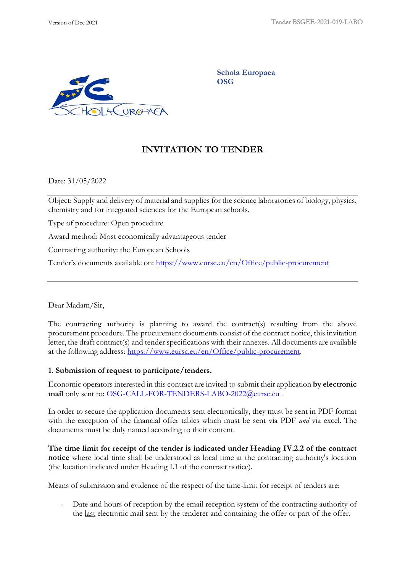

**Schola Europaea OSG**

# **INVITATION TO TENDER**

Date: 31/05/2022

Object: Supply and delivery of material and supplies for the science laboratories of biology, physics, chemistry and for integrated sciences for the European schools.

Type of procedure: Open procedure

Award method: Most economically advantageous tender

Contracting authority: the European Schools

Tender's documents available on: <https://www.eursc.eu/en/Office/public-procurement>

Dear Madam/Sir,

The contracting authority is planning to award the contract(s) resulting from the above procurement procedure. The procurement documents consist of the contract notice, this invitation letter, the draft contract(s) and tender specifications with their annexes. All documents are available at the following address: [https://www.eursc.eu/en/Office/public-procurement.](https://www.eursc.eu/en/Office/public-procurement)

### **1. Submission of request to participate/tenders.**

Economic operators interested in this contract are invited to submit their application **by electronic mail** only sent to: [OSG-CALL-FOR-TENDERS-LABO-2022@eursc.eu](mailto:OSG-CALL-FOR-TENDERS-LABO@eursc.eu) .

In order to secure the application documents sent electronically, they must be sent in PDF format with the exception of the financial offer tables which must be sent via PDF *and* via excel. The documents must be duly named according to their content.

**The time limit for receipt of the tender is indicated under Heading IV.2.2 of the contract notice** where local time shall be understood as local time at the contracting authority's location (the location indicated under Heading I.1 of the contract notice).

Means of submission and evidence of the respect of the time-limit for receipt of tenders are:

- Date and hours of reception by the email reception system of the contracting authority of the last electronic mail sent by the tenderer and containing the offer or part of the offer.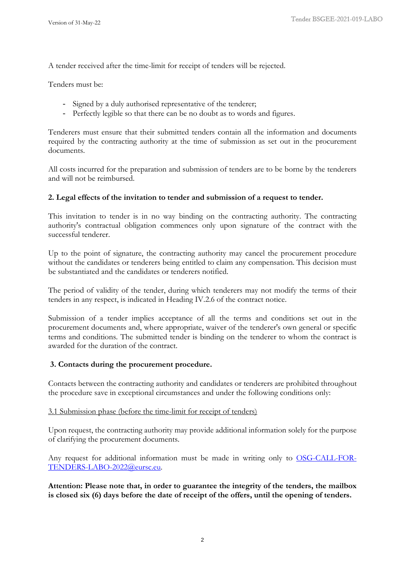A tender received after the time-limit for receipt of tenders will be rejected.

Tenders must be:

- Signed by a duly authorised representative of the tenderer;
- Perfectly legible so that there can be no doubt as to words and figures.

Tenderers must ensure that their submitted tenders contain all the information and documents required by the contracting authority at the time of submission as set out in the procurement documents.

All costs incurred for the preparation and submission of tenders are to be borne by the tenderers and will not be reimbursed.

### **2. Legal effects of the invitation to tender and submission of a request to tender.**

This invitation to tender is in no way binding on the contracting authority. The contracting authority's contractual obligation commences only upon signature of the contract with the successful tenderer.

Up to the point of signature, the contracting authority may cancel the procurement procedure without the candidates or tenderers being entitled to claim any compensation. This decision must be substantiated and the candidates or tenderers notified.

The period of validity of the tender, during which tenderers may not modify the terms of their tenders in any respect, is indicated in Heading IV.2.6 of the contract notice.

Submission of a tender implies acceptance of all the terms and conditions set out in the procurement documents and, where appropriate, waiver of the tenderer's own general or specific terms and conditions. The submitted tender is binding on the tenderer to whom the contract is awarded for the duration of the contract.

### **3. Contacts during the procurement procedure.**

Contacts between the contracting authority and candidates or tenderers are prohibited throughout the procedure save in exceptional circumstances and under the following conditions only:

### 3.1 Submission phase (before the time-limit for receipt of tenders)

Upon request, the contracting authority may provide additional information solely for the purpose of clarifying the procurement documents.

Any request for additional information must be made in writing only to [OSG-CALL-FOR-](mailto:OSG-CALL-FOR-TENDERS-LABO@eursc.eu)[TENDERS-LABO-2022@eursc.eu](mailto:OSG-CALL-FOR-TENDERS-LABO@eursc.eu)*.*

**Attention: Please note that, in order to guarantee the integrity of the tenders, the mailbox is closed six (6) days before the date of receipt of the offers, until the opening of tenders.**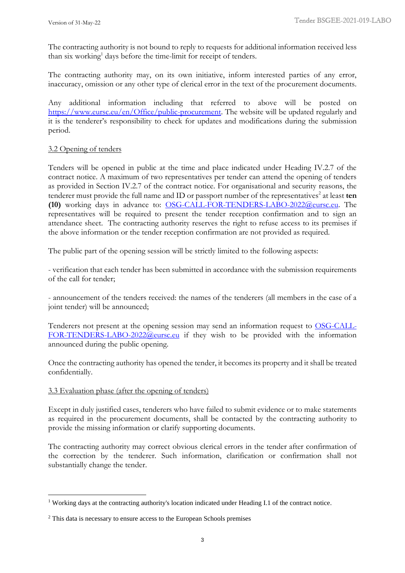The contracting authority is not bound to reply to requests for additional information received less than six working<sup>1</sup> days before the time-limit for receipt of tenders.

The contracting authority may, on its own initiative, inform interested parties of any error, inaccuracy, omission or any other type of clerical error in the text of the procurement documents.

Any additional information including that referred to above will be posted on [https://www.eursc.eu/en/Office/public-procurement.](https://www.eursc.eu/en/Office/public-procurement) The website will be updated regularly and it is the tenderer's responsibility to check for updates and modifications during the submission period.

## 3.2 Opening of tenders

Tenders will be opened in public at the time and place indicated under Heading IV.2.7 of the contract notice. A maximum of two representatives per tender can attend the opening of tenders as provided in Section IV.2.7 of the contract notice. For organisational and security reasons, the tenderer must provide the full name and ID or passport number of the representatives<sup>2</sup> at least ten **(10)** working days in advance to: [OSG-CALL-FOR-TENDERS-LABO-2022@eursc.eu.](mailto:OSG-CALL-FOR-TENDERS-LABO@eursc.eu) The representatives will be required to present the tender reception confirmation and to sign an attendance sheet. The contracting authority reserves the right to refuse access to its premises if the above information or the tender reception confirmation are not provided as required.

The public part of the opening session will be strictly limited to the following aspects:

- verification that each tender has been submitted in accordance with the submission requirements of the call for tender;

- announcement of the tenders received: the names of the tenderers (all members in the case of a joint tender) will be announced;

Tenderers not present at the opening session may send an information request to [OSG-CALL-](mailto:OSG-CALL-FOR-TENDERS-LABO@eursc.eu)[FOR-TENDERS-LABO-2022@eursc.eu](mailto:OSG-CALL-FOR-TENDERS-LABO@eursc.eu) if they wish to be provided with the information announced during the public opening.

Once the contracting authority has opened the tender, it becomes its property and it shall be treated confidentially.

#### 3.3 Evaluation phase (after the opening of tenders)

Except in duly justified cases, tenderers who have failed to submit evidence or to make statements as required in the procurement documents, shall be contacted by the contracting authority to provide the missing information or clarify supporting documents.

The contracting authority may correct obvious clerical errors in the tender after confirmation of the correction by the tenderer. Such information, clarification or confirmation shall not substantially change the tender.

<sup>&</sup>lt;sup>1</sup> Working days at the contracting authority's location indicated under Heading I.1 of the contract notice.

<sup>&</sup>lt;sup>2</sup> This data is necessary to ensure access to the European Schools premises